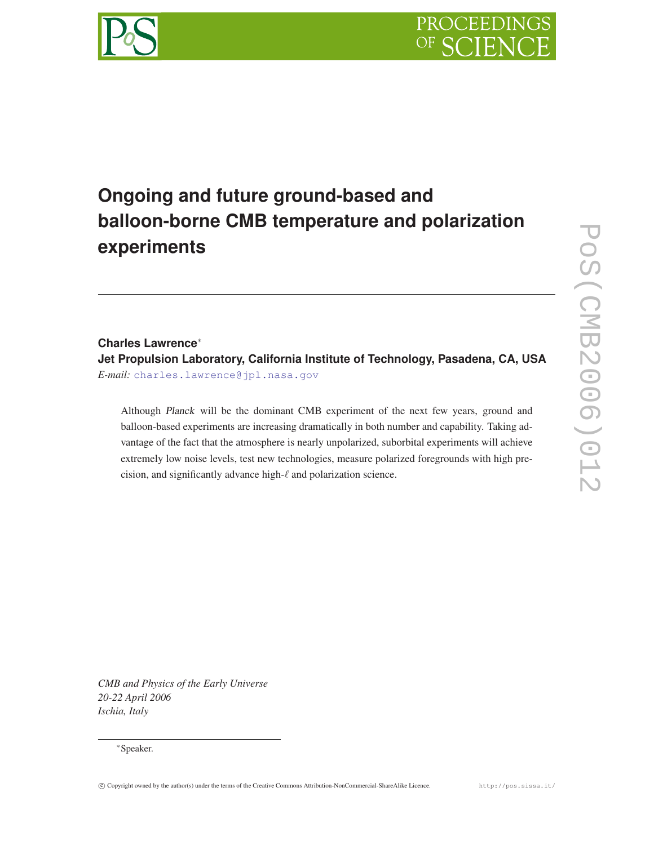# PROCEEDING



# **Ongoing and future ground-based and balloon-borne CMB temperature and polarization experiments**

# **Charles Lawrence**∗ **Jet Propulsion Laboratory, California Institute of Technology, Pasadena, CA, USA** *E-mail:* charles.lawrence@jpl.nasa.gov

Although *Planck* will be the dominant CMB experiment of the next few years, ground and balloon-based experiments are increasing dramatically in both number and capability. Taking advantage of the fact that the atmosphere is nearly unpolarized, suborbital experiments will achieve extremely low noise levels, test new technologies, measure polarized foregrounds with high precision, and significantly advance high- $\ell$  and polarization science.

*CMB and Physics of the Early Universe 20-22 April 2006 Ischia, Italy*

!c Copyright owned by the author(s) under the terms of the Creative Commons Attribution-NonCommercial-ShareAlike Licence. http://pos.sissa.it/

<sup>∗</sup>Speaker.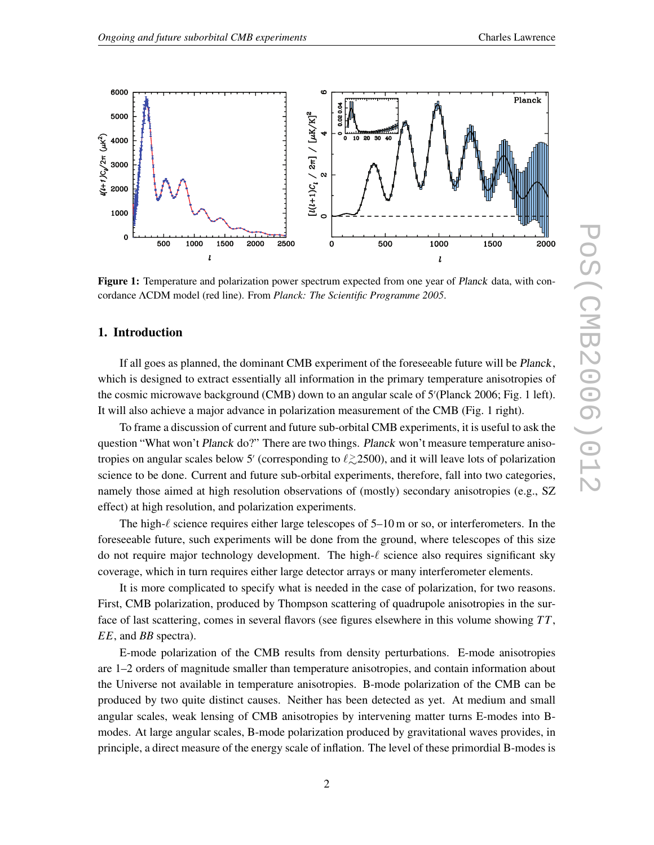

Figure 1: Temperature and polarization power spectrum expected from one year of *Planck* data, with concordance ΛCDM model (red line). From *Planck: The Scientific Programme 2005*.

# 1. Introduction

If all goes as planned, the dominant CMB experiment of the foreseeable future will be *Planck*, which is designed to extract essentially all information in the primary temperature anisotropies of the cosmic microwave background (CMB) down to an angular scale of 5" (Planck 2006; Fig. 1 left). It will also achieve a major advance in polarization measurement of the CMB (Fig. 1 right).

To frame a discussion of current and future sub-orbital CMB experiments, it is useful to ask the question "What won't *Planck* do?" There are two things. *Planck* won't measure temperature anisotropies on angular scales below 5' (corresponding to  $\ell \gtrsim 2500$ ), and it will leave lots of polarization science to be done. Current and future sub-orbital experiments, therefore, fall into two categories, namely those aimed at high resolution observations of (mostly) secondary anisotropies (e.g., SZ effect) at high resolution, and polarization experiments.

The high- $\ell$  science requires either large telescopes of 5–10 m or so, or interferometers. In the foreseeable future, such experiments will be done from the ground, where telescopes of this size do not require major technology development. The high- $\ell$  science also requires significant sky coverage, which in turn requires either large detector arrays or many interferometer elements.

It is more complicated to specify what is needed in the case of polarization, for two reasons. First, CMB polarization, produced by Thompson scattering of quadrupole anisotropies in the surface of last scattering, comes in several flavors (see figures elsewhere in this volume showing *TT*, *EE*, and *BB* spectra).

E-mode polarization of the CMB results from density perturbations. E-mode anisotropies are 1–2 orders of magnitude smaller than temperature anisotropies, and contain information about the Universe not available in temperature anisotropies. B-mode polarization of the CMB can be produced by two quite distinct causes. Neither has been detected as yet. At medium and small angular scales, weak lensing of CMB anisotropies by intervening matter turns E-modes into Bmodes. At large angular scales, B-mode polarization produced by gravitational waves provides, in principle, a direct measure of the energy scale of inflation. The level of these primordial B-modes is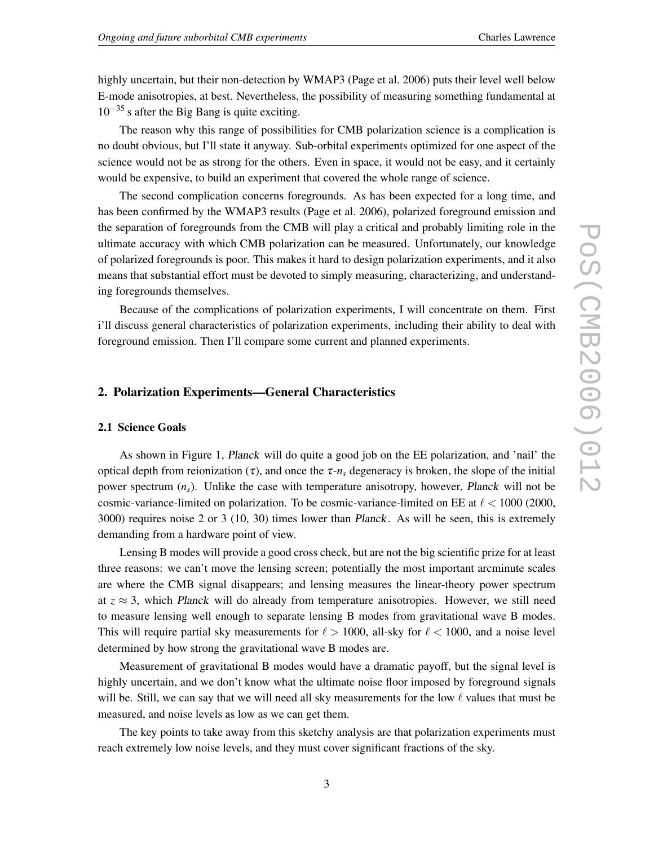highly uncertain, but their non-detection by WMAP3 (Page et al. 2006) puts their level well below E-mode anisotropies, at best. Nevertheless, the possibility of measuring something fundamental at  $10^{-35}$  s after the Big Bang is quite exciting.

The reason why this range of possibilities for CMB polarization science is a complication is no doubt obvious, but I'll state it anyway. Sub-orbital experiments optimized for one aspect of the science would not be as strong for the others. Even in space, it would not be easy, and it certainly would be expensive, to build an experiment that covered the whole range of science.

The second complication concerns foregrounds. As has been expected for a long time, and has been confirmed by the WMAP3 results (Page et al. 2006), polarized foreground emission and the separation of foregrounds from the CMB will play a critical and probably limiting role in the ultimate accuracy with which CMB polarization can be measured. Unfortunately, our knowledge of polarized foregrounds is poor. This makes it hard to design polarization experiments, and it also means that substantial effort must be devoted to simply measuring, characterizing, and understanding foregrounds themselves.

Because of the complications of polarization experiments, I will concentrate on them. First i'll discuss general characteristics of polarization experiments, including their ability to deal with foreground emission. Then I'll compare some current and planned experiments.

#### 2. Polarization Experiments—General Characteristics

#### 2.1 Science Goals

As shown in Figure 1, *Planck* will do quite a good job on the EE polarization, and 'nail' the optical depth from reionization (τ), and once the τ-*ns* degeneracy is broken, the slope of the initial power spectrum (*ns*). Unlike the case with temperature anisotropy, however, *Planck* will not be cosmic-variance-limited on polarization. To be cosmic-variance-limited on EE at  $\ell < 1000$  (2000, 3000) requires noise 2 or 3 (10, 30) times lower than *Planck*. As will be seen, this is extremely demanding from a hardware point of view.

Lensing B modes will provide a good cross check, but are not the big scientific prize for at least three reasons: we can't move the lensing screen; potentially the most important arcminute scales are where the CMB signal disappears; and lensing measures the linear-theory power spectrum at  $z \approx 3$ , which *Planck* will do already from temperature anisotropies. However, we still need to measure lensing well enough to separate lensing B modes from gravitational wave B modes. This will require partial sky measurements for  $\ell > 1000$ , all-sky for  $\ell < 1000$ , and a noise level determined by how strong the gravitational wave B modes are.

Measurement of gravitational B modes would have a dramatic payoff, but the signal level is highly uncertain, and we don't know what the ultimate noise floor imposed by foreground signals will be. Still, we can say that we will need all sky measurements for the low  $\ell$  values that must be measured, and noise levels as low as we can get them.

The key points to take away from this sketchy analysis are that polarization experiments must reach extremely low noise levels, and they must cover significant fractions of the sky.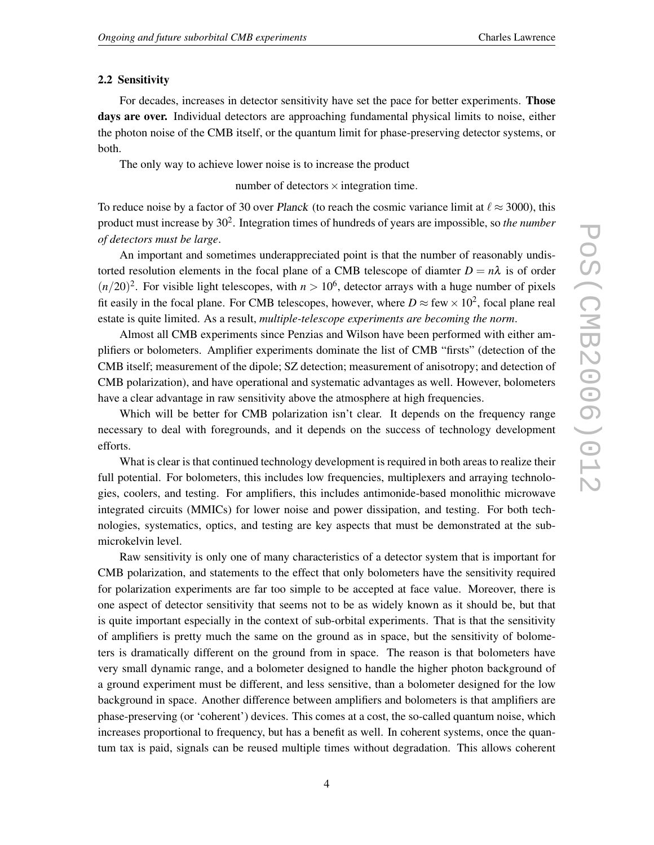#### 2.2 Sensitivity

For decades, increases in detector sensitivity have set the pace for better experiments. **Those** days are over. Individual detectors are approaching fundamental physical limits to noise, either the photon noise of the CMB itself, or the quantum limit for phase-preserving detector systems, or both.

The only way to achieve lower noise is to increase the product

number of detectors  $\times$  integration time.

To reduce noise by a factor of 30 over *Planck* (to reach the cosmic variance limit at  $\ell \approx 3000$ ), this product must increase by 302. Integration times of hundreds of years are impossible, so *the number of detectors must be large*.

An important and sometimes underappreciated point is that the number of reasonably undistorted resolution elements in the focal plane of a CMB telescope of diamter  $D = n\lambda$  is of order  $(n/20)^2$ . For visible light telescopes, with  $n > 10^6$ , detector arrays with a huge number of pixels fit easily in the focal plane. For CMB telescopes, however, where  $D \approx$  few  $\times 10^2$ , focal plane real estate is quite limited. As a result, *multiple-telescope experiments are becoming the norm*.

Almost all CMB experiments since Penzias and Wilson have been performed with either amplifiers or bolometers. Amplifier experiments dominate the list of CMB "firsts" (detection of the CMB itself; measurement of the dipole; SZ detection; measurement of anisotropy; and detection of CMB polarization), and have operational and systematic advantages as well. However, bolometers have a clear advantage in raw sensitivity above the atmosphere at high frequencies.

Which will be better for CMB polarization isn't clear. It depends on the frequency range necessary to deal with foregrounds, and it depends on the success of technology development efforts.

What is clear is that continued technology development is required in both areas to realize their full potential. For bolometers, this includes low frequencies, multiplexers and arraying technologies, coolers, and testing. For amplifiers, this includes antimonide-based monolithic microwave integrated circuits (MMICs) for lower noise and power dissipation, and testing. For both technologies, systematics, optics, and testing are key aspects that must be demonstrated at the submicrokelvin level.

Raw sensitivity is only one of many characteristics of a detector system that is important for CMB polarization, and statements to the effect that only bolometers have the sensitivity required for polarization experiments are far too simple to be accepted at face value. Moreover, there is one aspect of detector sensitivity that seems not to be as widely known as it should be, but that is quite important especially in the context of sub-orbital experiments. That is that the sensitivity of amplifiers is pretty much the same on the ground as in space, but the sensitivity of bolometers is dramatically different on the ground from in space. The reason is that bolometers have very small dynamic range, and a bolometer designed to handle the higher photon background of a ground experiment must be different, and less sensitive, than a bolometer designed for the low background in space. Another difference between amplifiers and bolometers is that amplifiers are phase-preserving (or 'coherent') devices. This comes at a cost, the so-called quantum noise, which increases proportional to frequency, but has a benefit as well. In coherent systems, once the quantum tax is paid, signals can be reused multiple times without degradation. This allows coherent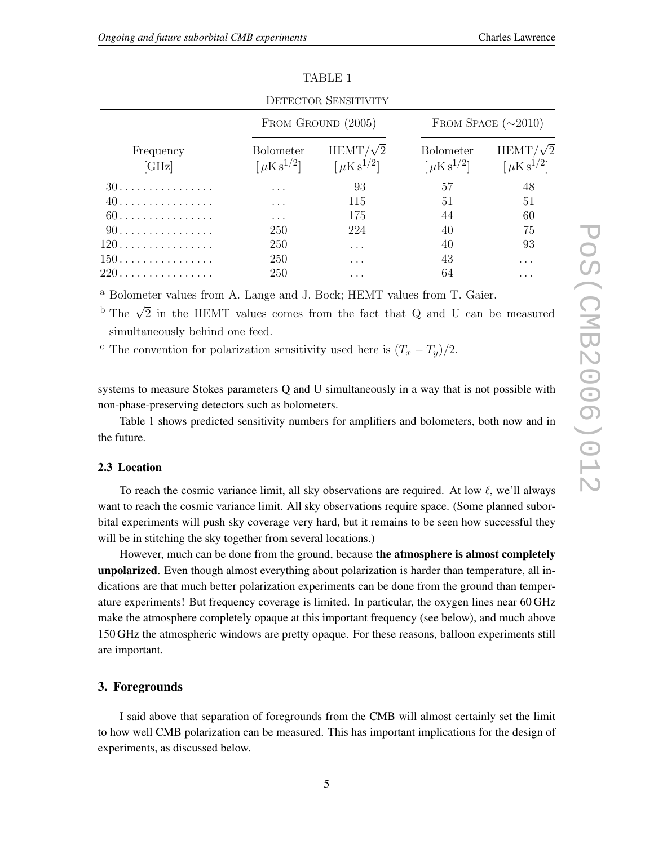| <b>DETECTOR SENSITIVITY</b> |                                                       |                                                      |                                                       |                                                      |  |  |
|-----------------------------|-------------------------------------------------------|------------------------------------------------------|-------------------------------------------------------|------------------------------------------------------|--|--|
| Frequency<br>$[\rm{GHz}]$   | FROM GROUND (2005)                                    |                                                      | FROM SPACE $(\sim 2010)$                              |                                                      |  |  |
|                             | <b>Bolometer</b><br>$\lceil \mu$ K s <sup>1/2</sup> ] | $HEMT/\sqrt{2}$<br>$\lceil \mu$ K s <sup>1/2</sup> ] | <b>Bolometer</b><br>$\lceil \mu$ K s <sup>1/2</sup> ] | $HEMT/\sqrt{2}$<br>$\lceil \mu$ K s <sup>1/2</sup> ] |  |  |
|                             | .                                                     | 93                                                   | 57                                                    | 48                                                   |  |  |
| 40.                         | .                                                     | 115                                                  | 51                                                    | 51                                                   |  |  |
| 60.                         | $\cdots$                                              | 175                                                  | 44                                                    | 60                                                   |  |  |
| 90.                         | 250                                                   | 224                                                  | 40                                                    | 75                                                   |  |  |
| $120$                       | 250                                                   | .                                                    | 40                                                    | 93                                                   |  |  |
| $150$                       | 250                                                   | .                                                    | 43                                                    | .                                                    |  |  |
| 220.                        | 250                                                   | .                                                    | 64                                                    | .                                                    |  |  |

TABLE 1

<sup>a</sup> Bolometer values from A. Lange and J. Bock; HEMT values from T. Gaier.

<sup>b</sup> The  $\sqrt{2}$  in the HEMT values comes from the fact that Q and U can be measured simultaneously behind one feed.

<sup>c</sup> The convention for polarization sensitivity used here is  $(T_x - T_y)/2$ .

systems to measure Stokes parameters Q and U simultaneously in a way that is not possible with non-phase-preserving detectors such as bolometers.

Table 1 shows predicted sensitivity numbers for amplifiers and bolometers, both now and in the future.

#### 2.3 Location

To reach the cosmic variance limit, all sky observations are required. At low  $\ell$ , we'll always want to reach the cosmic variance limit. All sky observations require space. (Some planned suborbital experiments will push sky coverage very hard, but it remains to be seen how successful they will be in stitching the sky together from several locations.)

However, much can be done from the ground, because the atmosphere is almost completely unpolarized. Even though almost everything about polarization is harder than temperature, all indications are that much better polarization experiments can be done from the ground than temperature experiments! But frequency coverage is limited. In particular, the oxygen lines near 60 GHz make the atmosphere completely opaque at this important frequency (see below), and much above 150 GHz the atmospheric windows are pretty opaque. For these reasons, balloon experiments still are important.

## 3. Foregrounds

I said above that separation of foregrounds from the CMB will almost certainly set the limit to how well CMB polarization can be measured. This has important implications for the design of experiments, as discussed below.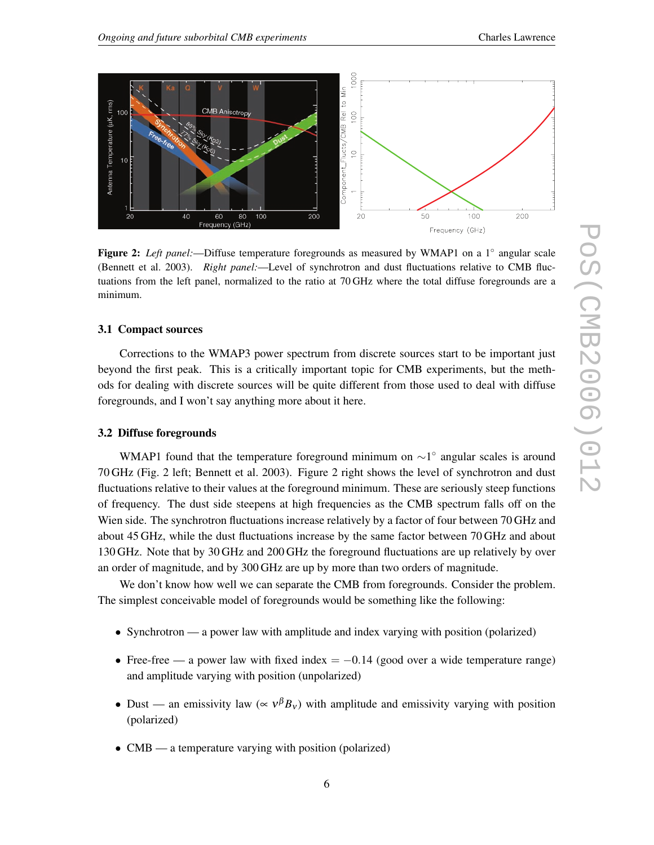

Figure 2: *Left panel:*—Diffuse temperature foregrounds as measured by WMAP1 on a 1◦ angular scale (Bennett et al. 2003). *Right panel:*—Level of synchrotron and dust fluctuations relative to CMB fluctuations from the left panel, normalized to the ratio at 70 GHz where the total diffuse foregrounds are a minimum.

#### 3.1 Compact sources

Corrections to the WMAP3 power spectrum from discrete sources start to be important just beyond the first peak. This is a critically important topic for CMB experiments, but the methods for dealing with discrete sources will be quite different from those used to deal with diffuse foregrounds, and I won't say anything more about it here.

#### 3.2 Diffuse foregrounds

WMAP1 found that the temperature foreground minimum on ~1<sup>°</sup> angular scales is around 70 GHz (Fig. 2 left; Bennett et al. 2003). Figure 2 right shows the level of synchrotron and dust fluctuations relative to their values at the foreground minimum. These are seriously steep functions of frequency. The dust side steepens at high frequencies as the CMB spectrum falls off on the Wien side. The synchrotron fluctuations increase relatively by a factor of four between 70 GHz and about 45 GHz, while the dust fluctuations increase by the same factor between 70 GHz and about 130 GHz. Note that by 30 GHz and 200 GHz the foreground fluctuations are up relatively by over an order of magnitude, and by 300 GHz are up by more than two orders of magnitude.

We don't know how well we can separate the CMB from foregrounds. Consider the problem. The simplest conceivable model of foregrounds would be something like the following:

- Synchrotron a power law with amplitude and index varying with position (polarized)
- Free-free a power law with fixed index  $= -0.14$  (good over a wide temperature range) and amplitude varying with position (unpolarized)
- Dust an emissivity law ( $\propto v^{\beta}B_y$ ) with amplitude and emissivity varying with position (polarized)
- CMB a temperature varying with position (polarized)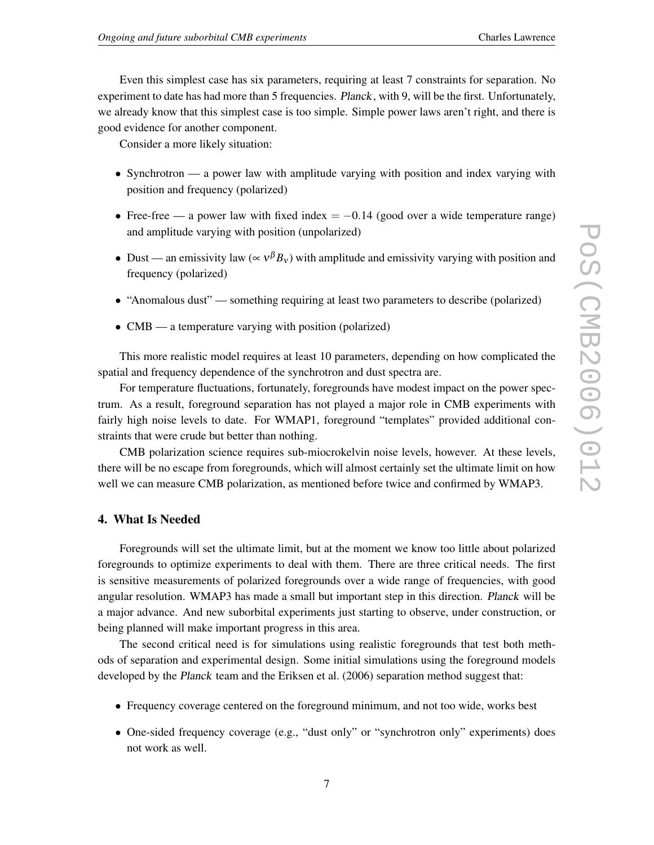Even this simplest case has six parameters, requiring at least 7 constraints for separation. No experiment to date has had more than 5 frequencies. *Planck*, with 9, will be the first. Unfortunately, we already know that this simplest case is too simple. Simple power laws aren't right, and there is good evidence for another component.

Consider a more likely situation:

- Synchrotron a power law with amplitude varying with position and index varying with position and frequency (polarized)
- Free-free a power law with fixed index  $= -0.14$  (good over a wide temperature range) and amplitude varying with position (unpolarized)
- Dust an emissivity law ( $\propto v^{\beta}B_v$ ) with amplitude and emissivity varying with position and frequency (polarized)
- "Anomalous dust" something requiring at least two parameters to describe (polarized)
- CMB a temperature varying with position (polarized)

This more realistic model requires at least 10 parameters, depending on how complicated the spatial and frequency dependence of the synchrotron and dust spectra are.

For temperature fluctuations, fortunately, foregrounds have modest impact on the power spectrum. As a result, foreground separation has not played a major role in CMB experiments with fairly high noise levels to date. For WMAP1, foreground "templates" provided additional constraints that were crude but better than nothing.

CMB polarization science requires sub-miocrokelvin noise levels, however. At these levels, there will be no escape from foregrounds, which will almost certainly set the ultimate limit on how well we can measure CMB polarization, as mentioned before twice and confirmed by WMAP3.

#### 4. What Is Needed

Foregrounds will set the ultimate limit, but at the moment we know too little about polarized foregrounds to optimize experiments to deal with them. There are three critical needs. The first is sensitive measurements of polarized foregrounds over a wide range of frequencies, with good angular resolution. WMAP3 has made a small but important step in this direction. *Planck* will be a major advance. And new suborbital experiments just starting to observe, under construction, or being planned will make important progress in this area.

The second critical need is for simulations using realistic foregrounds that test both methods of separation and experimental design. Some initial simulations using the foreground models developed by the *Planck* team and the Eriksen et al. (2006) separation method suggest that:

- Frequency coverage centered on the foreground minimum, and not too wide, works best
- One-sided frequency coverage (e.g., "dust only" or "synchrotron only" experiments) does not work as well.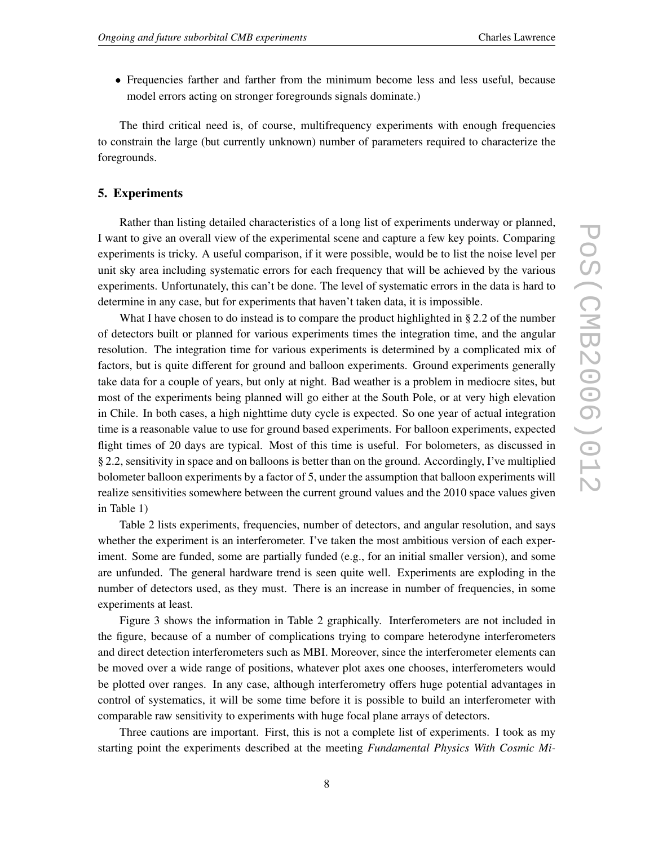• Frequencies farther and farther from the minimum become less and less useful, because model errors acting on stronger foregrounds signals dominate.)

The third critical need is, of course, multifrequency experiments with enough frequencies to constrain the large (but currently unknown) number of parameters required to characterize the foregrounds.

### 5. Experiments

Rather than listing detailed characteristics of a long list of experiments underway or planned, I want to give an overall view of the experimental scene and capture a few key points. Comparing experiments is tricky. A useful comparison, if it were possible, would be to list the noise level per unit sky area including systematic errors for each frequency that will be achieved by the various experiments. Unfortunately, this can't be done. The level of systematic errors in the data is hard to determine in any case, but for experiments that haven't taken data, it is impossible.

What I have chosen to do instead is to compare the product highlighted in  $\S 2.2$  of the number of detectors built or planned for various experiments times the integration time, and the angular resolution. The integration time for various experiments is determined by a complicated mix of factors, but is quite different for ground and balloon experiments. Ground experiments generally take data for a couple of years, but only at night. Bad weather is a problem in mediocre sites, but most of the experiments being planned will go either at the South Pole, or at very high elevation in Chile. In both cases, a high nighttime duty cycle is expected. So one year of actual integration time is a reasonable value to use for ground based experiments. For balloon experiments, expected flight times of 20 days are typical. Most of this time is useful. For bolometers, as discussed in § 2.2, sensitivity in space and on balloons is better than on the ground. Accordingly, I've multiplied bolometer balloon experiments by a factor of 5, under the assumption that balloon experiments will realize sensitivities somewhere between the current ground values and the 2010 space values given in Table 1)

Table 2 lists experiments, frequencies, number of detectors, and angular resolution, and says whether the experiment is an interferometer. I've taken the most ambitious version of each experiment. Some are funded, some are partially funded (e.g., for an initial smaller version), and some are unfunded. The general hardware trend is seen quite well. Experiments are exploding in the number of detectors used, as they must. There is an increase in number of frequencies, in some experiments at least.

Figure 3 shows the information in Table 2 graphically. Interferometers are not included in the figure, because of a number of complications trying to compare heterodyne interferometers and direct detection interferometers such as MBI. Moreover, since the interferometer elements can be moved over a wide range of positions, whatever plot axes one chooses, interferometers would be plotted over ranges. In any case, although interferometry offers huge potential advantages in control of systematics, it will be some time before it is possible to build an interferometer with comparable raw sensitivity to experiments with huge focal plane arrays of detectors.

Three cautions are important. First, this is not a complete list of experiments. I took as my starting point the experiments described at the meeting *Fundamental Physics With Cosmic Mi-*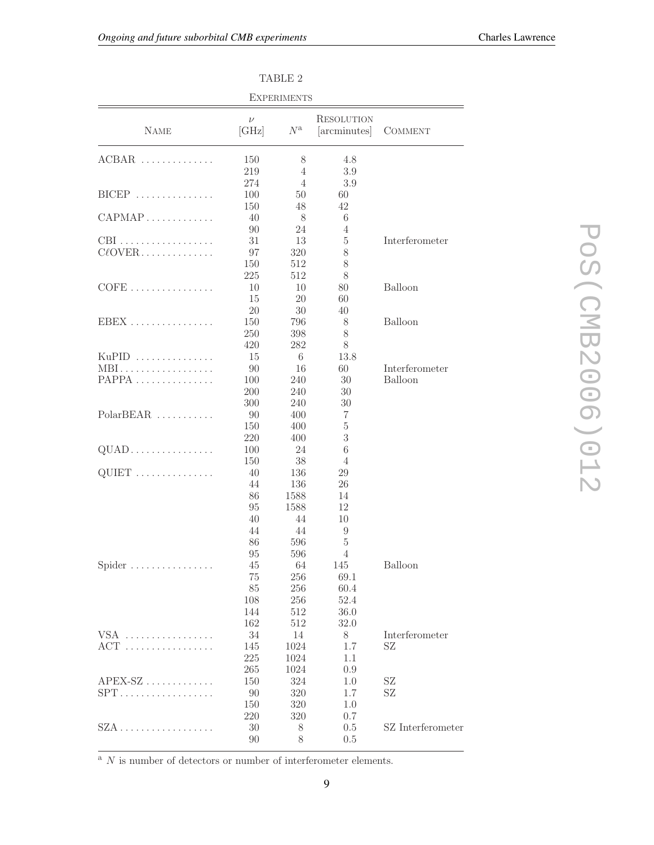| <b>EXPERIMENTS</b>  |                      |                            |                            |                   |  |  |  |
|---------------------|----------------------|----------------------------|----------------------------|-------------------|--|--|--|
| <b>NAME</b>         | $\nu$<br>[GHz]       | $N^{\rm a}$                | RESOLUTION<br>[arcminutes] | <b>COMMENT</b>    |  |  |  |
| $ACBAR$             | 150<br>219           | 8<br>4                     | 4.8<br>3.9                 |                   |  |  |  |
| $BICEP$             | 274<br>100           | 4<br>50                    | 3.9<br>60                  |                   |  |  |  |
| $CAPMAP$            | 150<br>40            | 48<br>8                    | 42<br>6                    |                   |  |  |  |
| CBI<br>$C\ell$ OVER | 90<br>31<br>97       | 24<br>13<br>320            | 4<br>5<br>8                | Interferometer    |  |  |  |
|                     | 150<br>225           | 512<br>512                 | $8\,$<br>8                 |                   |  |  |  |
|                     | 10<br>15<br>20       | 10<br>20<br>30             | 80<br>60<br>40             | Balloon           |  |  |  |
| $EBEX$              | 150<br>250<br>420    | 796<br>398<br>282          | 8<br>8<br>8                | Balloon           |  |  |  |
| $KuPID$<br>MBI      | 15<br>90             | 6<br>16                    | 13.8<br>60                 | Interferometer    |  |  |  |
| $PAPPA$             | 100<br>200<br>300    | 240<br>240<br>240          | 30<br>30<br>30             | Balloon           |  |  |  |
| $PolarBEAR$         | 90<br>150<br>220     | 400<br>400<br>400          | 7<br>5<br>3                |                   |  |  |  |
| $QUAD$              | 100<br>150           | 24<br>38                   | 6<br>4                     |                   |  |  |  |
| $\text{QUIET}$      | 40<br>44<br>86<br>95 | 136<br>136<br>1588<br>1588 | 29<br>26<br>14<br>12       |                   |  |  |  |
|                     | 40<br>44<br>86       | 44<br>44<br>596            | 10<br>9<br>5               |                   |  |  |  |
| Spider              | 95<br>$45\,$<br>75   | 596<br>64<br>256           | 4<br>145<br>69.1           | <b>Balloon</b>    |  |  |  |
|                     | $85\,$<br>108<br>144 | 256<br>256<br>512          | 60.4<br>52.4<br>36.0       |                   |  |  |  |
| VSA                 | 162<br>34            | 512<br>14                  | 32.0<br>8                  | Interferometer    |  |  |  |
| $ACT$               | 145<br>225<br>265    | 1024<br>1024<br>1024       | 1.7<br>1.1<br>0.9          | SZ                |  |  |  |
| $APEX-SZ$<br>$SPT$  | 150<br>90<br>150     | 324<br>320<br>320          | 1.0<br>1.7<br>1.0          | SZ<br>SZ          |  |  |  |
|                     | 220<br>30<br>90      | 320<br>8<br>8              | 0.7<br>0.5<br>0.5          | SZ Interferometer |  |  |  |

TABLE 2

POS(CMB2006)012 PoS(CMB2006)012

 $\overline{{}^{\rm a}$   $N$  is number of detectors or number of interferometer elements.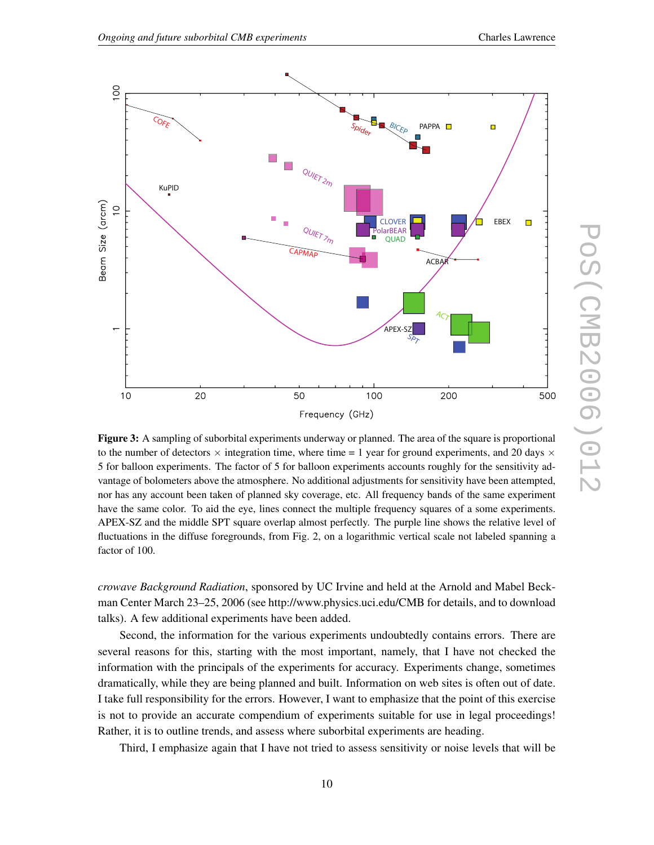

Figure 3: A sampling of suborbital experiments underway or planned. The area of the square is proportional to the number of detectors  $\times$  integration time, where time = 1 year for ground experiments, and 20 days  $\times$ 5 for balloon experiments. The factor of 5 for balloon experiments accounts roughly for the sensitivity advantage of bolometers above the atmosphere. No additional adjustments for sensitivity have been attempted, nor has any account been taken of planned sky coverage, etc. All frequency bands of the same experiment have the same color. To aid the eye, lines connect the multiple frequency squares of a some experiments. APEX-SZ and the middle SPT square overlap almost perfectly. The purple line shows the relative level of fluctuations in the diffuse foregrounds, from Fig. 2, on a logarithmic vertical scale not labeled spanning a factor of 100.

*crowave Background Radiation*, sponsored by UC Irvine and held at the Arnold and Mabel Beckman Center March 23–25, 2006 (see http://www.physics.uci.edu/CMB for details, and to download talks). A few additional experiments have been added.

Second, the information for the various experiments undoubtedly contains errors. There are several reasons for this, starting with the most important, namely, that I have not checked the information with the principals of the experiments for accuracy. Experiments change, sometimes dramatically, while they are being planned and built. Information on web sites is often out of date. I take full responsibility for the errors. However, I want to emphasize that the point of this exercise is not to provide an accurate compendium of experiments suitable for use in legal proceedings! Rather, it is to outline trends, and assess where suborbital experiments are heading.

Third, I emphasize again that I have not tried to assess sensitivity or noise levels that will be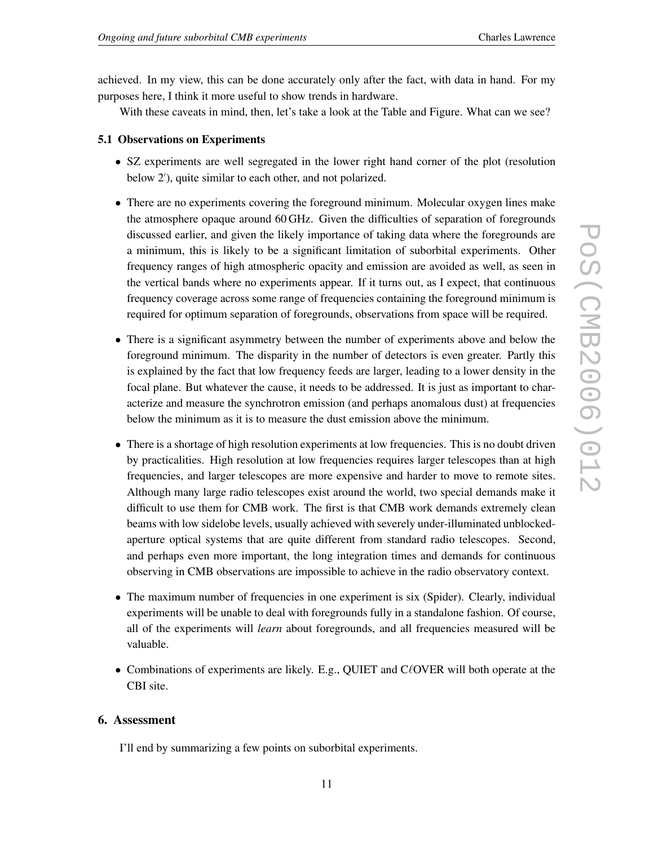achieved. In my view, this can be done accurately only after the fact, with data in hand. For my purposes here, I think it more useful to show trends in hardware.

With these caveats in mind, then, let's take a look at the Table and Figure. What can we see?

## 5.1 Observations on Experiments

- SZ experiments are well segregated in the lower right hand corner of the plot (resolution below 2'), quite similar to each other, and not polarized.
- There are no experiments covering the foreground minimum. Molecular oxygen lines make the atmosphere opaque around 60 GHz. Given the difficulties of separation of foregrounds discussed earlier, and given the likely importance of taking data where the foregrounds are a minimum, this is likely to be a significant limitation of suborbital experiments. Other frequency ranges of high atmospheric opacity and emission are avoided as well, as seen in the vertical bands where no experiments appear. If it turns out, as I expect, that continuous frequency coverage across some range of frequencies containing the foreground minimum is required for optimum separation of foregrounds, observations from space will be required.
- There is a significant asymmetry between the number of experiments above and below the foreground minimum. The disparity in the number of detectors is even greater. Partly this is explained by the fact that low frequency feeds are larger, leading to a lower density in the focal plane. But whatever the cause, it needs to be addressed. It is just as important to characterize and measure the synchrotron emission (and perhaps anomalous dust) at frequencies below the minimum as it is to measure the dust emission above the minimum.
- There is a shortage of high resolution experiments at low frequencies. This is no doubt driven by practicalities. High resolution at low frequencies requires larger telescopes than at high frequencies, and larger telescopes are more expensive and harder to move to remote sites. Although many large radio telescopes exist around the world, two special demands make it difficult to use them for CMB work. The first is that CMB work demands extremely clean beams with low sidelobe levels, usually achieved with severely under-illuminated unblockedaperture optical systems that are quite different from standard radio telescopes. Second, and perhaps even more important, the long integration times and demands for continuous observing in CMB observations are impossible to achieve in the radio observatory context.
- The maximum number of frequencies in one experiment is six (Spider). Clearly, individual experiments will be unable to deal with foregrounds fully in a standalone fashion. Of course, all of the experiments will *learn* about foregrounds, and all frequencies measured will be valuable.
- Combinations of experiments are likely. E.g., QUIET and  $C\ell$  OVER will both operate at the CBI site.

# 6. Assessment

I'll end by summarizing a few points on suborbital experiments.